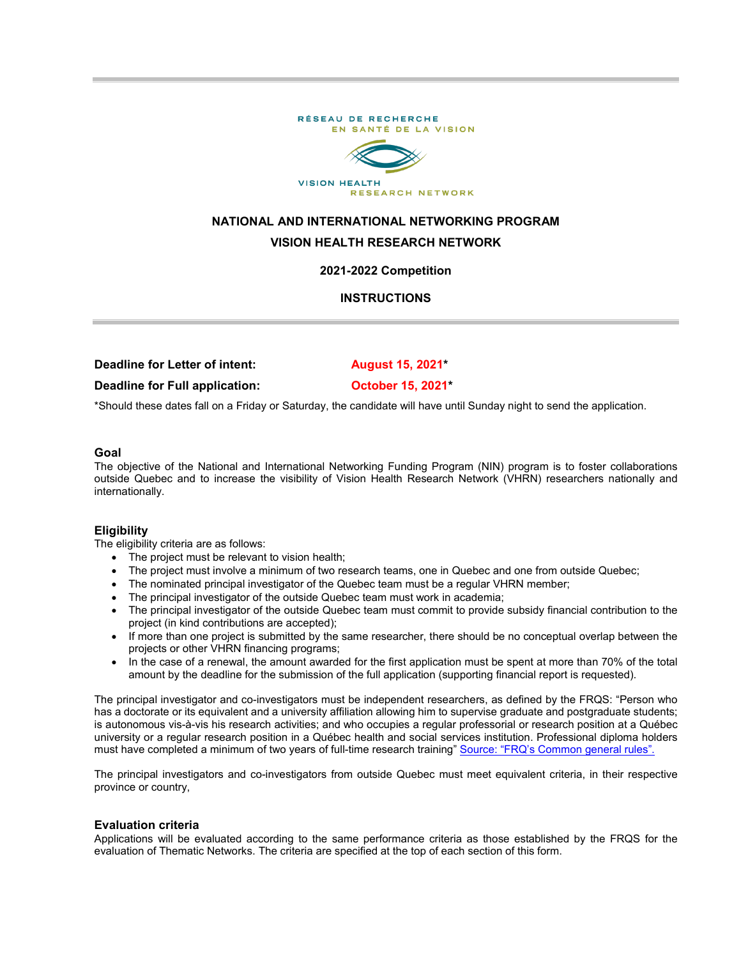

# **NATIONAL AND INTERNATIONAL NETWORKING PROGRAM VISION HEALTH RESEARCH NETWORK**

## **2021-2022 Competition**

## **INSTRUCTIONS**

| Deadline for Letter of intent: | August 15, 2021         |
|--------------------------------|-------------------------|
| Deadline for Full application: | <b>October 15, 2021</b> |

\*Should these dates fall on a Friday or Saturday, the candidate will have until Sunday night to send the application.

#### **Goal**

The objective of the National and International Networking Funding Program (NIN) program is to foster collaborations outside Quebec and to increase the visibility of Vision Health Research Network (VHRN) researchers nationally and internationally.

#### **Eligibility**

The eligibility criteria are as follows:

- The project must be relevant to vision health;
- The project must involve a minimum of two research teams, one in Quebec and one from outside Quebec;
- The nominated principal investigator of the Quebec team must be a regular VHRN member;
- The principal investigator of the outside Quebec team must work in academia;
- The principal investigator of the outside Quebec team must commit to provide subsidy financial contribution to the project (in kind contributions are accepted);
- If more than one project is submitted by the same researcher, there should be no conceptual overlap between the projects or other VHRN financing programs;
- In the case of a renewal, the amount awarded for the first application must be spent at more than 70% of the total amount by the deadline for the submission of the full application (supporting financial report is requested).

The principal investigator and co-investigators must be independent researchers, as defined by the FRQS: "Person who has a doctorate or its equivalent and a university affiliation allowing him to supervise graduate and postgraduate students; is autonomous vis-à-vis his research activities; and who occupies a regular professorial or research position at a Québec university or a regular research position in a Québec health and social services institution. Professional diploma holders must have completed a minimum of two years of full-time research training" [Source: "FRQ's Common general rules"](http://www.frqs.gouv.qc.ca/en/regles-generales-communes).

The principal investigators and co-investigators from outside Quebec must meet equivalent criteria, in their respective province or country,

#### **Evaluation criteria**

Applications will be evaluated according to the same performance criteria as those established by the FRQS for the evaluation of Thematic Networks. The criteria are specified at the top of each section of this form.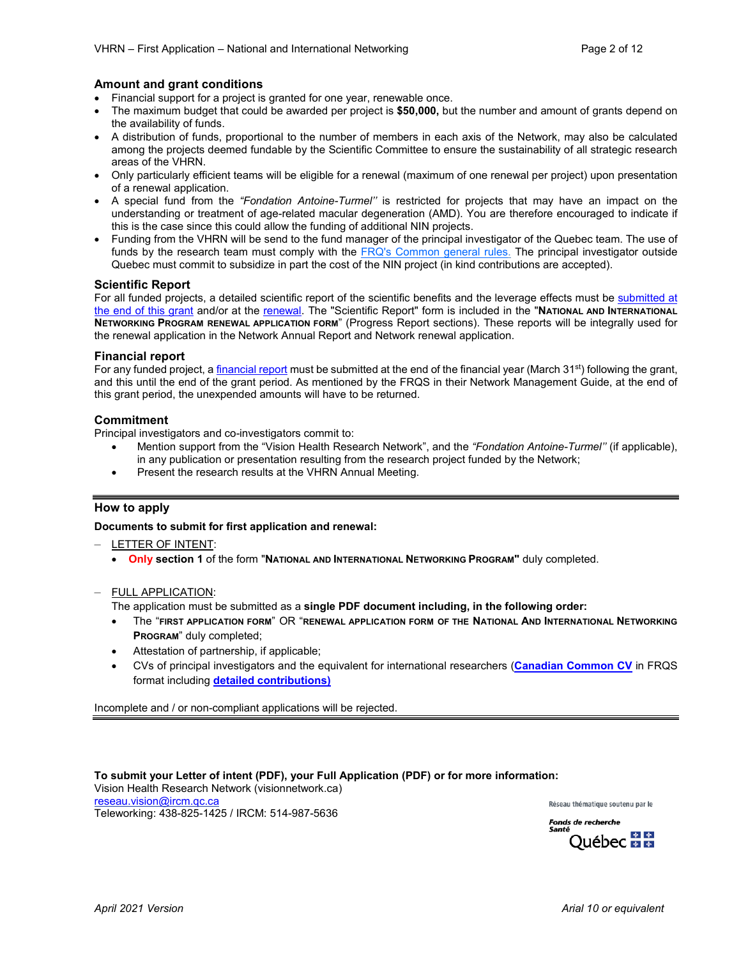#### **Amount and grant conditions**

- Financial support for a project is granted for one year, renewable once.
- The maximum budget that could be awarded per project is **\$50,000,** but the number and amount of grants depend on the availability of funds.
- A distribution of funds, proportional to the number of members in each axis of the Network, may also be calculated among the projects deemed fundable by the Scientific Committee to ensure the sustainability of all strategic research areas of the VHRN.
- Only particularly efficient teams will be eligible for a renewal (maximum of one renewal per project) upon presentation of a renewal application.
- A special fund from the *"Fondation Antoine-Turmel''* is restricted for projects that may have an impact on the understanding or treatment of age-related macular degeneration (AMD). You are therefore encouraged to indicate if this is the case since this could allow the funding of additional NIN projects.
- Funding from the VHRN will be send to the fund manager of the principal investigator of the Quebec team. The use of funds by the research team must comply with the [FRQ's Common general rules.](http://www.frqs.gouv.qc.ca/en/regles-generales-communes) The principal investigator outside Quebec must commit to subsidize in part the cost of the NIN project (in kind contributions are accepted).

#### **Scientific Report**

For all funded projects, a detailed scientific report of the scientific benefits and the leverage effects must be submitted at [the end of this grant](http://visionnetwork.ca/financement/rapports-scientifiques/) and/or at the [renewal.](http://visionnetwork.ca/financement/programme-de-reseautage-national-et-international/) The "Scientific Report" form is included in the "**NATIONAL AND INTERNATIONAL NETWORKING PROGRAM RENEWAL APPLICATION FORM**" (Progress Report sections). These reports will be integrally used for the renewal application in the Network Annual Report and Network renewal application.

#### **Financial report**

For any funded project, a *financial report* must be submitted at the end of the financial year (March 31<sup>st</sup>) following the grant, and this until the end of the grant period. As mentioned by the FRQS in their Network Management Guide, at the end of this grant period, the unexpended amounts will have to be returned.

#### **Commitment**

Principal investigators and co-investigators commit to:

- Mention support from the "Vision Health Research Network", and the *"Fondation Antoine-Turmel''* (if applicable), in any publication or presentation resulting from the research project funded by the Network;
- Present the research results at the VHRN Annual Meeting.

## **How to apply**

**Documents to submit for first application and renewal:**

- LETTER OF INTENT:
	- **Only section 1** of the form "**NATIONAL AND INTERNATIONAL NETWORKING PROGRAM"** duly completed.

#### — FULL APPLICATION:

The application must be submitted as a **single PDF document including, in the following order:**

- The "**FIRST APPLICATION FORM**" OR "**RENEWAL APPLICATION FORM OF THE NATIONAL AND INTERNATIONAL NETWORKING PROGRAM**" duly completed;
- Attestation of partnership, if applicable;
- CVs of principal investigators and the equivalent for international researchers (**[Canadian Common CV](https://ccv-cvc.ca/)** in FRQS format including **[detailed contributions\)](http://www.frqs.gouv.qc.ca/documents/11314/710199/Directives+pour+le+fichier+joint+au+CV/808ab760-f35b-41ef-8bd1-8eaaa85c68e8)**

Incomplete and / or non-compliant applications will be rejected.

**To submit your Letter of intent (PDF), your Full Application (PDF) or for more information:** Vision Health Research Network (visionnetwork.ca) [reseau.vision@ircm.qc.ca](mailto:reseau.vision@ircm.qc.ca) Réseau thématique soutenu par le Teleworking: 438-825-1425 / IRCM: 514-987-5636



Ouébec <del>MM</del>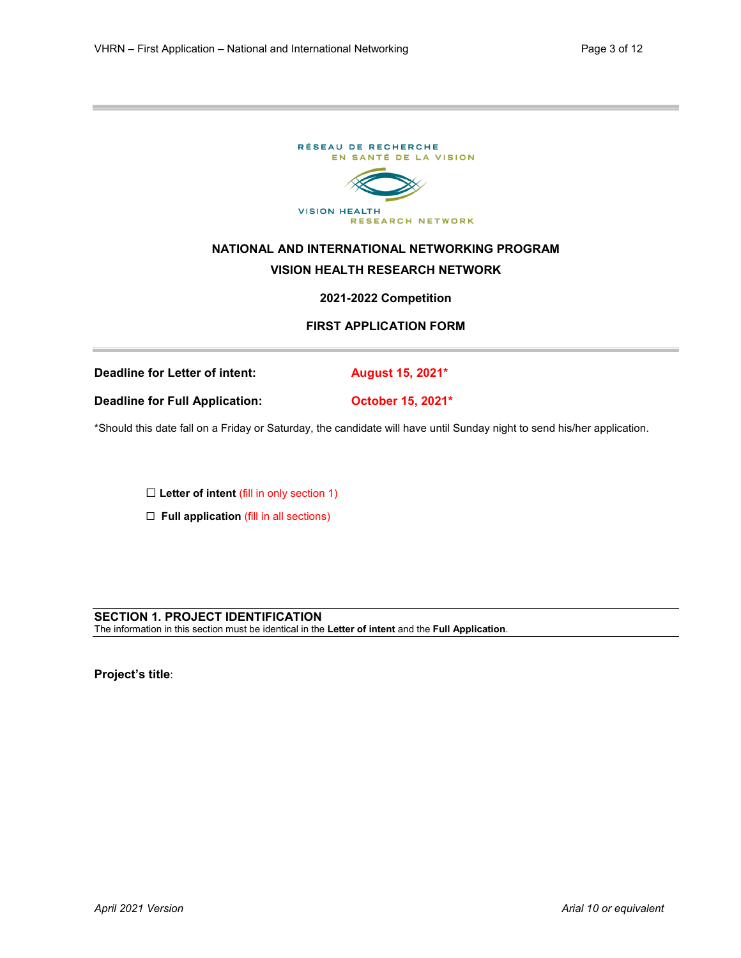

\*Should this date fall on a Friday or Saturday, the candidate will have until Sunday night to send his/her application.

☐ **Letter of intent** (fill in only section 1)

☐ **Full application** (fill in all sections)

#### **SECTION 1. PROJECT IDENTIFICATION**

The information in this section must be identical in the **Letter of intent** and the **Full Application**.

**Project's title**: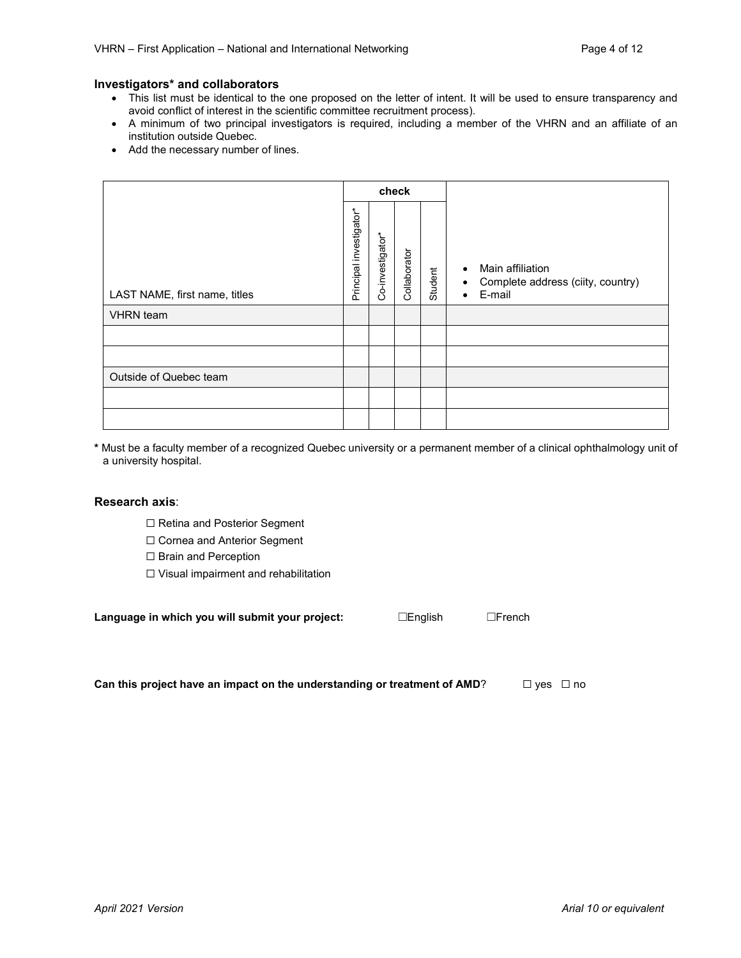#### **Investigators\* and collaborators**

- This list must be identical to the one proposed on the letter of intent. It will be used to ensure transparency and avoid conflict of interest in the scientific committee recruitment process).
- A minimum of two principal investigators is required, including a member of the VHRN and an affiliate of an institution outside Quebec.
- Add the necessary number of lines.

|                               | check                   |                  |              |         |                                                                                                        |  |  |
|-------------------------------|-------------------------|------------------|--------------|---------|--------------------------------------------------------------------------------------------------------|--|--|
| LAST NAME, first name, titles | Principal investigator* | Co-investigator* | Collaborator | Student | Main affiliation<br>$\bullet$<br>Complete address (ciity, country)<br>$\bullet$<br>E-mail<br>$\bullet$ |  |  |
| <b>VHRN</b> team              |                         |                  |              |         |                                                                                                        |  |  |
|                               |                         |                  |              |         |                                                                                                        |  |  |
|                               |                         |                  |              |         |                                                                                                        |  |  |
| Outside of Quebec team        |                         |                  |              |         |                                                                                                        |  |  |
|                               |                         |                  |              |         |                                                                                                        |  |  |
|                               |                         |                  |              |         |                                                                                                        |  |  |

**\*** Must be a faculty member of a recognized Quebec university or a permanent member of a clinical ophthalmology unit of a university hospital.

#### **Research axis**:

- ☐ Retina and Posterior Segment
- ☐ Cornea and Anterior Segment
- □ Brain and Perception
- ☐ Visual impairment and rehabilitation

| Language in which you will submit your project: | ∟English | $\Box$ French |
|-------------------------------------------------|----------|---------------|
|                                                 |          |               |

**Can this project have an impact on the understanding or treatment of AMD?** □ yes □ no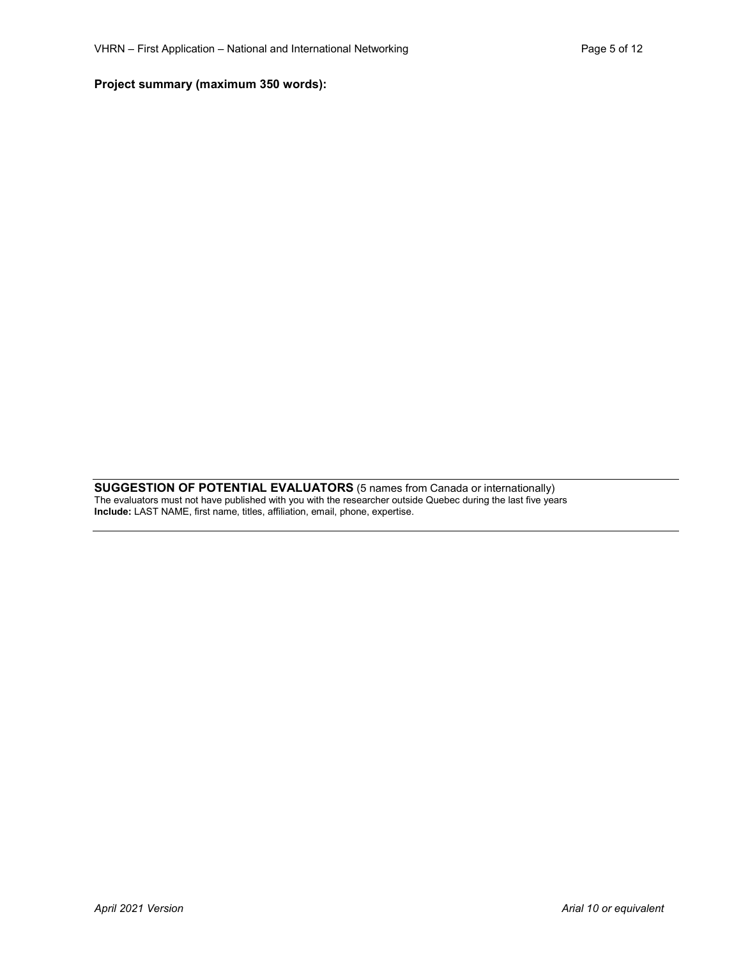## **Project summary (maximum 350 words):**

**SUGGESTION OF POTENTIAL EVALUATORS** (5 names from Canada or internationally) The evaluators must not have published with you with the researcher outside Quebec during the last five years **Include:** LAST NAME, first name, titles, affiliation, email, phone, expertise.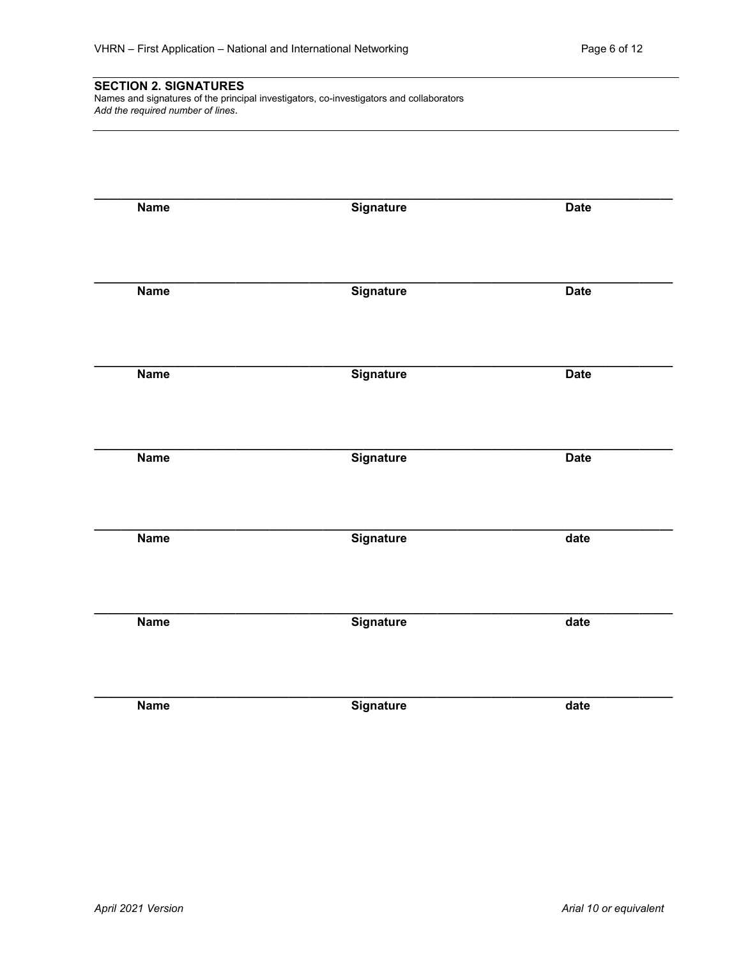## **SECTION 2. SIGNATURES**

Names and signatures of the principal investigators, co-investigators and collaborators *Add the required number of lines*.

| <b>Name</b> | <b>Signature</b> | <b>Date</b>       |
|-------------|------------------|-------------------|
|             |                  |                   |
| <b>Name</b> | <b>Signature</b> | <b>Date</b>       |
|             |                  |                   |
| <b>Name</b> | <b>Signature</b> | <b>Date</b>       |
|             |                  |                   |
| <b>Name</b> | Signature        | <b>Date</b>       |
|             |                  |                   |
| <b>Name</b> | <b>Signature</b> | $\overline{date}$ |
|             |                  |                   |
| <b>Name</b> | Signature        | $\overline{date}$ |
|             |                  |                   |
| <b>Name</b> | <b>Signature</b> | date              |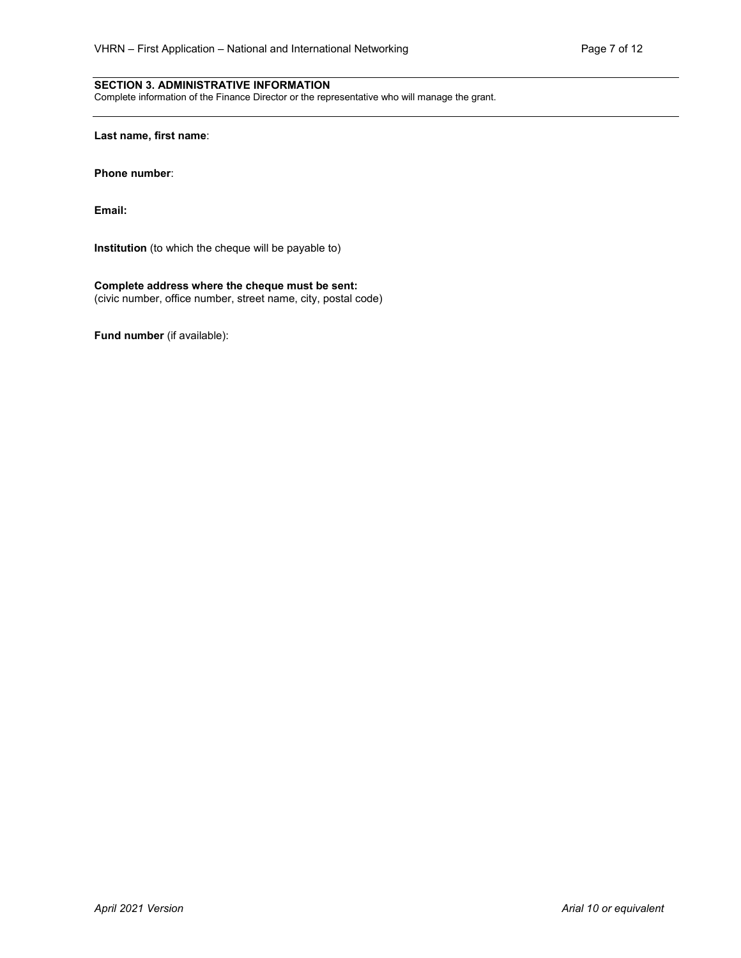### **SECTION 3. ADMINISTRATIVE INFORMATION**

Complete information of the Finance Director or the representative who will manage the grant.

**Last name, first name**:

**Phone number**:

**Email:** 

**Institution** (to which the cheque will be payable to)

### **Complete address where the cheque must be sent:**

(civic number, office number, street name, city, postal code)

**Fund number** (if available):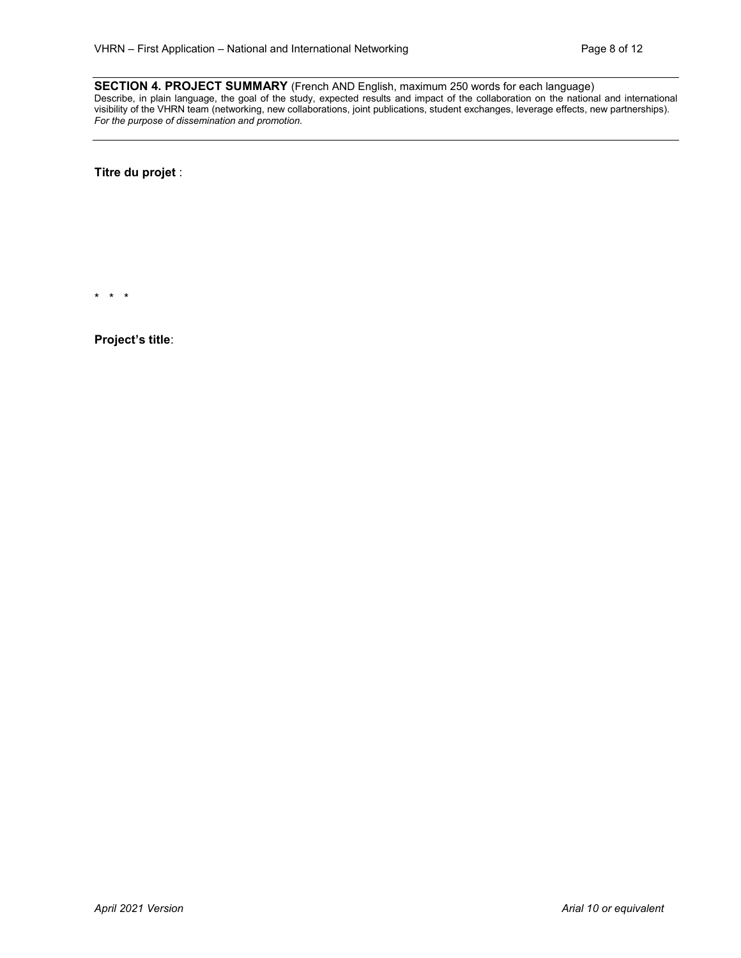**SECTION 4. PROJECT SUMMARY** (French AND English, maximum 250 words for each language) Describe, in plain language, the goal of the study, expected results and impact of the collaboration on the national and international visibility of the VHRN team (networking, new collaborations, joint publications, student exchanges, leverage effects, new partnerships). *For the purpose of dissemination and promotion.*

**Titre du projet** :

\* \* \*

**Project's title**: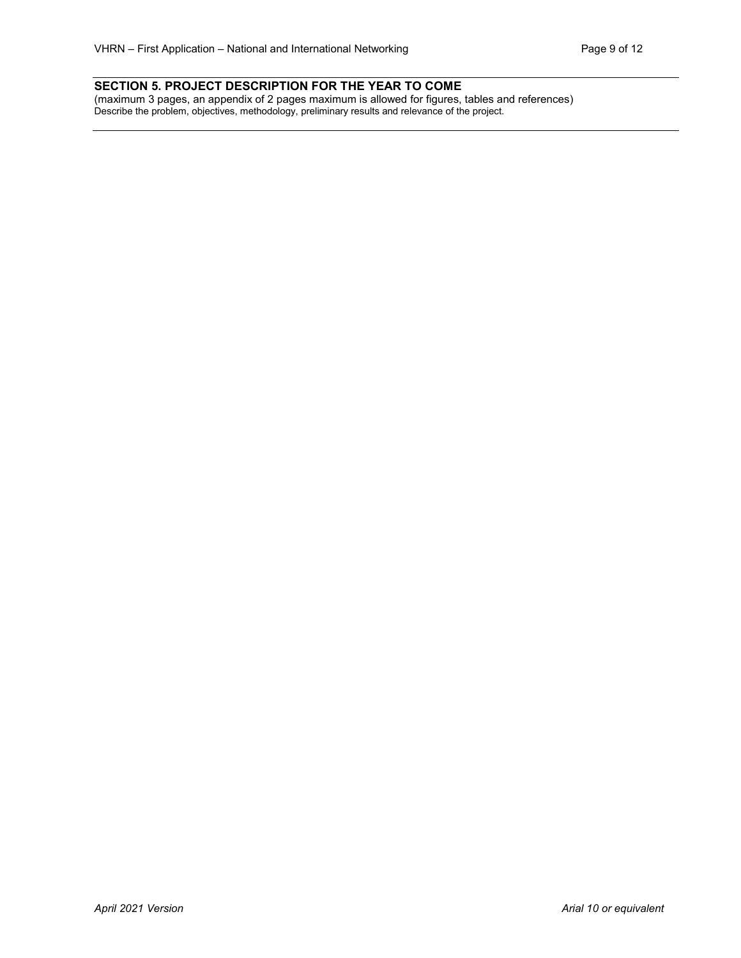## **SECTION 5. PROJECT DESCRIPTION FOR THE YEAR TO COME**

(maximum 3 pages, an appendix of 2 pages maximum is allowed for figures, tables and references) Describe the problem, objectives, methodology, preliminary results and relevance of the project.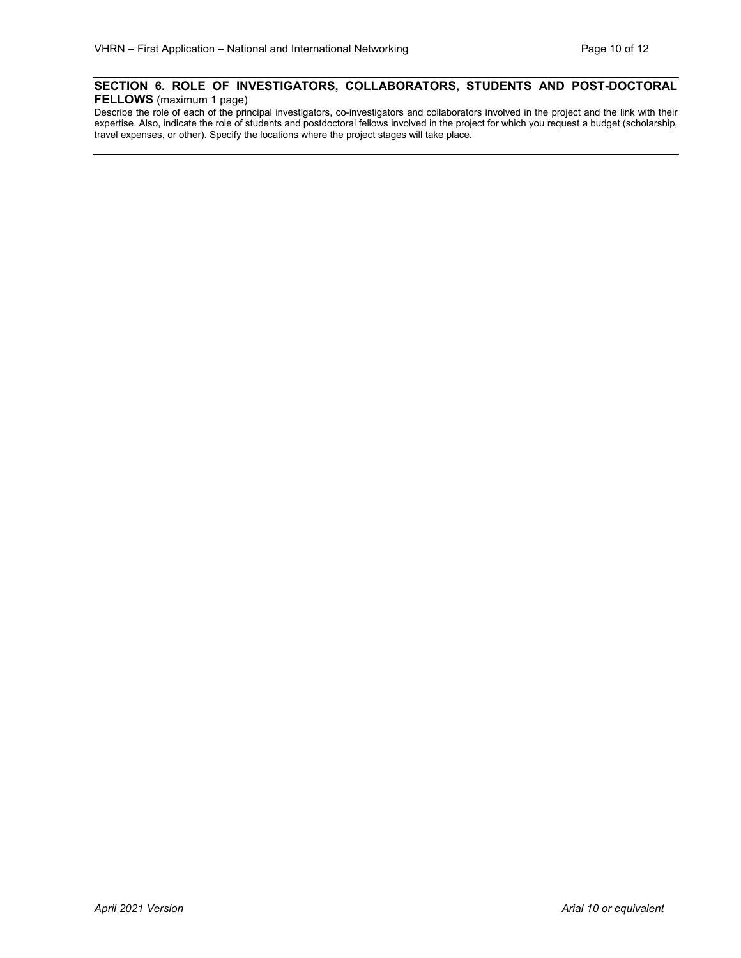## **SECTION 6. ROLE OF INVESTIGATORS, COLLABORATORS, STUDENTS AND POST-DOCTORAL FELLOWS** (maximum 1 page)

Describe the role of each of the principal investigators, co-investigators and collaborators involved in the project and the link with their expertise. Also, indicate the role of students and postdoctoral fellows involved in the project for which you request a budget (scholarship, travel expenses, or other). Specify the locations where the project stages will take place.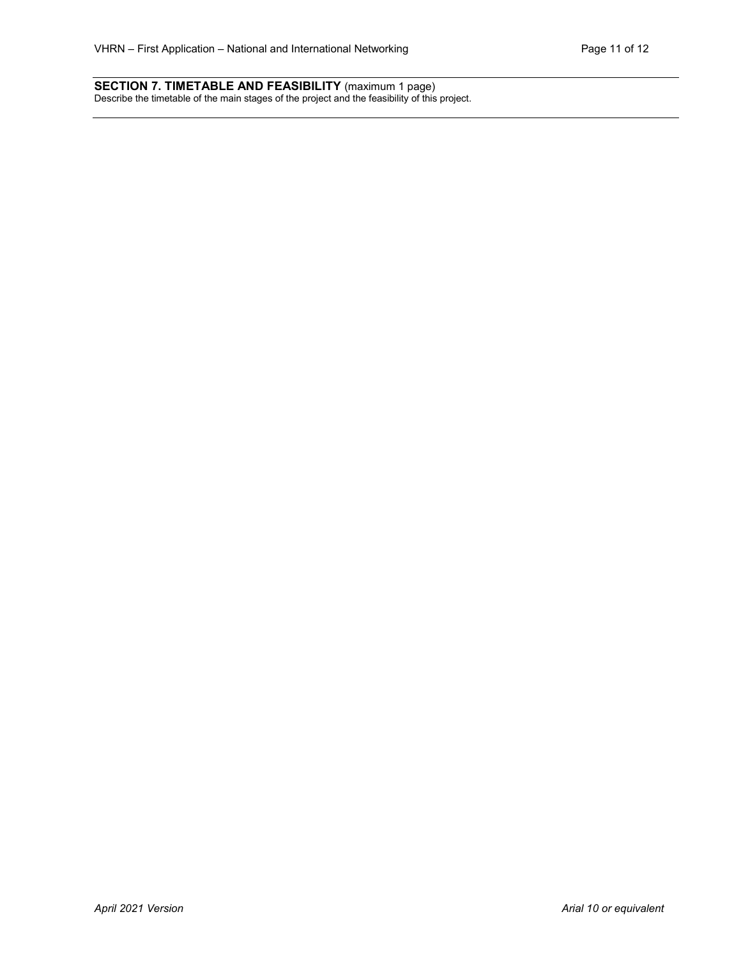#### **SECTION 7. TIMETABLE AND FEASIBILITY** (maximum 1 page) Describe the timetable of the main stages of the project and the feasibility of this project.